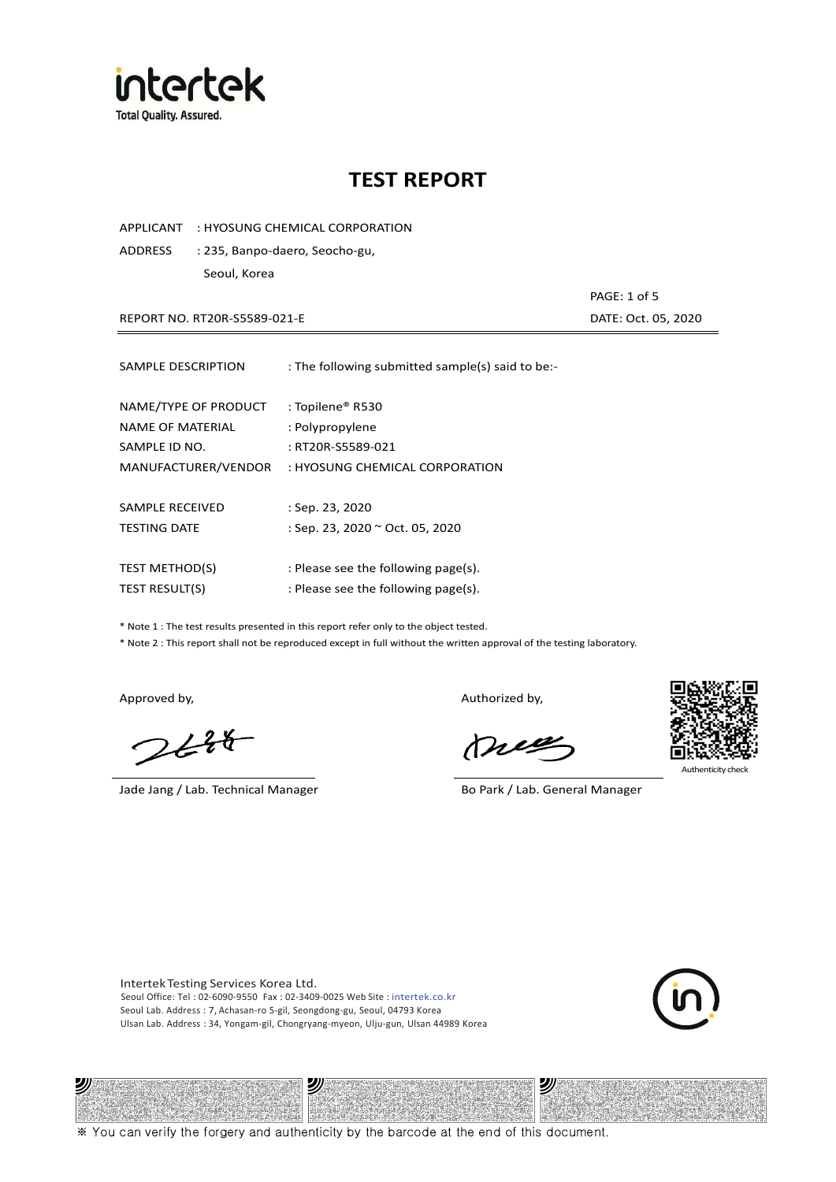

APPLICANT : HYOSUNG CHEMICAL CORPORATION

ADDRESS : 235, Banpo-daero, Seocho-gu, Seoul, Korea

REPORT NO. RT20R-S5589-021-E DATE: Oct. 05, 2020

PAGE: 1 of 5

| SAMPLE DESCRIPTION                                        | : The following submitted sample(s) said to be:-         |
|-----------------------------------------------------------|----------------------------------------------------------|
| NAME/TYPE OF PRODUCT<br>NAME OF MATERIAL<br>SAMPLE ID NO. | : Topilene® R530<br>: Polypropylene<br>: RT20R-S5589-021 |
| MANUFACTURER/VENDOR                                       | : HYOSUNG CHEMICAL CORPORATION                           |
| SAMPLE RECEIVED                                           | $:$ Sep. 23, 2020                                        |
| <b>TESTING DATE</b>                                       | : Sep. 23, 2020 ~ Oct. 05, 2020                          |
|                                                           |                                                          |
| <b>TEST METHOD(S)</b>                                     | : Please see the following page(s).                      |
| <b>TEST RESULT(S)</b>                                     | : Please see the following page(s).                      |

\* Note 1 : The test results presented in this report refer only to the object tested.

\* Note 2 : This report shall not be reproduced except in full without the written approval of the testing laboratory.

ツル

 $2648$ 

Jade Jang / Lab. Technical Manager Bo Park / Lab. General Manager

Approved by, and the control of the control of the Authorized by,

Meg



沙

Authenticity ch

Intertek Testing Services Korea Ltd. Seoul Office: Tel : 02-6090-9550 Fax : 02-3409-0025 Web Site : intertek.co.kr Seoul Lab. Address : 7, Achasan-ro 5-gil, Seongdong-gu, Seoul, 04793 Korea Ulsan Lab. Address : 34, Yongam-gil, Chongryang-myeon, Ulju-gun, Ulsan 44989 Korea

沙



※ You can verify the forgery and authenticity by the barcode at the end of this document.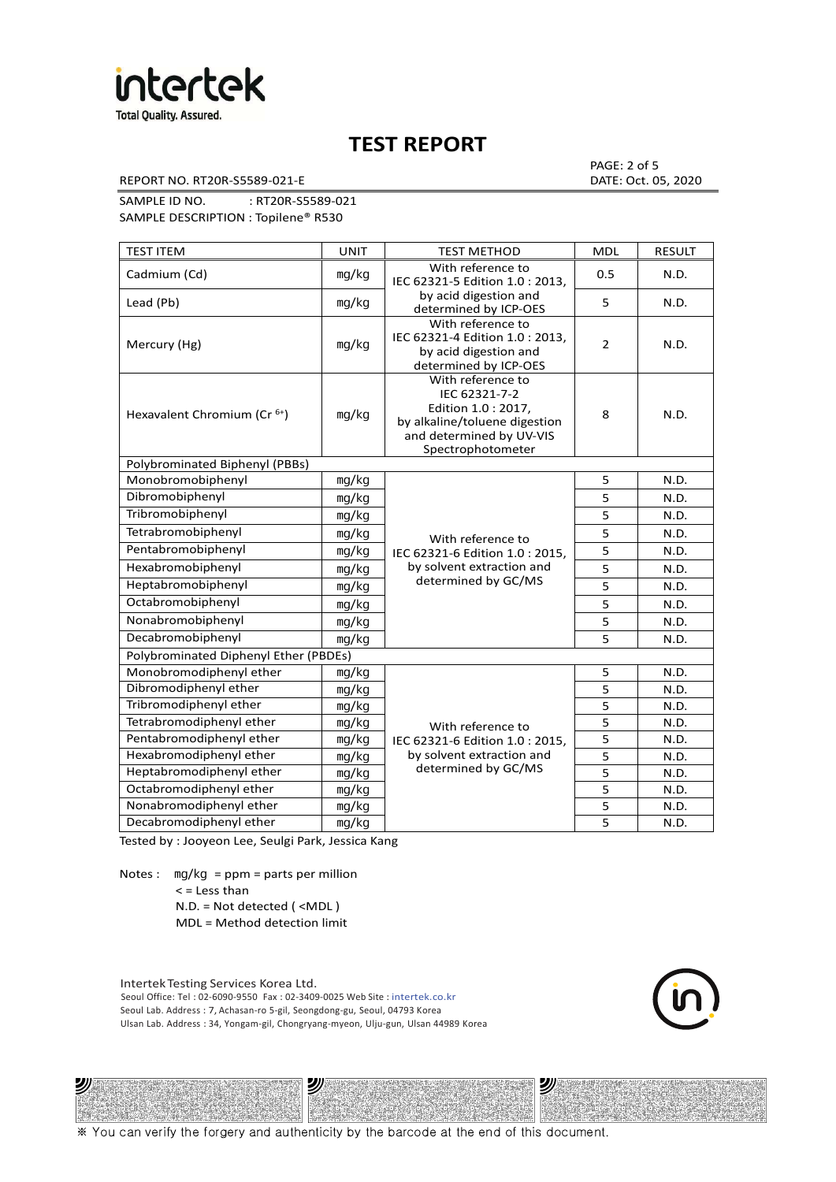

REPORT NO. RT20R-S5589-021-E DATE: Oct. 05, 2020

PAGE: 2 of 5

SAMPLE ID NO. : RT20R-S5589-021 SAMPLE DESCRIPTION : Topilene® R530

| <b>TEST ITEM</b>                        | <b>UNIT</b> | <b>TEST METHOD</b>                                                                                                                         | <b>MDL</b>     | <b>RESULT</b> |
|-----------------------------------------|-------------|--------------------------------------------------------------------------------------------------------------------------------------------|----------------|---------------|
| Cadmium (Cd)                            | mg/kg       | With reference to<br>IEC 62321-5 Edition 1.0: 2013.                                                                                        | 0.5            | N.D.          |
| Lead (Pb)                               | mq/kg       | by acid digestion and<br>determined by ICP-OES                                                                                             | 5              | N.D.          |
| Mercury (Hg)                            | mg/kg       | With reference to<br>IEC 62321-4 Edition 1.0 : 2013,<br>by acid digestion and<br>determined by ICP-OES                                     | $\overline{2}$ | N.D.          |
| Hexavalent Chromium (Cr <sup>6+</sup> ) | mq/kg       | With reference to<br>IEC 62321-7-2<br>Edition 1.0: 2017,<br>by alkaline/toluene digestion<br>and determined by UV-VIS<br>Spectrophotometer | 8              | N.D.          |
| Polybrominated Biphenyl (PBBs)          |             |                                                                                                                                            |                |               |
| Monobromobiphenyl                       | mg/kg       |                                                                                                                                            | 5              | N.D.          |
| Dibromobiphenyl                         | mg/kg       |                                                                                                                                            | 5              | N.D.          |
| Tribromobiphenyl                        | mg/kg       |                                                                                                                                            | 5              | N.D.          |
| Tetrabromobiphenyl                      | mg/kg       | With reference to                                                                                                                          | $\overline{5}$ | N.D.          |
| Pentabromobiphenyl                      | mg/kg       | IEC 62321-6 Edition 1.0: 2015,                                                                                                             | 5              | N.D.          |
| Hexabromobiphenyl                       | mg/kg       | by solvent extraction and                                                                                                                  | 5              | N.D.          |
| Heptabromobiphenyl                      | mg/kg       | determined by GC/MS                                                                                                                        | 5              | N.D.          |
| Octabromobiphenyl                       | mg/kg       |                                                                                                                                            | 5              | N.D.          |
| Nonabromobiphenyl                       | mg/kg       |                                                                                                                                            | $\overline{5}$ | N.D.          |
| Decabromobiphenyl                       | mg/kg       |                                                                                                                                            | 5              | N.D.          |
| Polybrominated Diphenyl Ether (PBDEs)   |             |                                                                                                                                            |                |               |
| Monobromodiphenyl ether                 | mg/kg       |                                                                                                                                            | 5              | N.D.          |
| Dibromodiphenyl ether                   | mg/kg       |                                                                                                                                            | 5              | N.D.          |
| Tribromodiphenyl ether                  | mg/kg       |                                                                                                                                            | 5              | N.D.          |
| Tetrabromodiphenyl ether                | mg/kg       | With reference to                                                                                                                          | 5              | N.D.          |
| Pentabromodiphenyl ether                | mg/kg       | IEC 62321-6 Edition 1.0 : 2015,                                                                                                            | 5              | N.D.          |
| Hexabromodiphenyl ether                 | mg/kg       | by solvent extraction and                                                                                                                  | 5              | N.D.          |
| Heptabromodiphenyl ether                | mg/kg       | determined by GC/MS                                                                                                                        | 5              | N.D.          |
| Octabromodiphenyl ether                 | mg/kg       |                                                                                                                                            | 5              | N.D.          |
| Nonabromodiphenyl ether                 | mg/kg       |                                                                                                                                            | 5              | N.D.          |
| Decabromodiphenyl ether                 | mg/kg       |                                                                                                                                            | 5              | N.D.          |

Tested by : Jooyeon Lee, Seulgi Park, Jessica Kang

Notes : mg/kg = ppm = parts per million  $<$  = Less than

沙

N.D. = Not detected ( <MDL )

MDL = Method detection limit

Intertek Testing Services Korea Ltd. Seoul Office: Tel : 02-6090-9550 Fax : 02-3409-0025 Web Site : intertek.co.kr Seoul Lab. Address : 7, Achasan-ro 5-gil, Seongdong-gu, Seoul, 04793 Korea Ulsan Lab. Address : 34, Yongam-gil, Chongryang-myeon, Ulju-gun, Ulsan 44989 Korea

沙

沙

※ You can verify the forgery and authenticity by the barcode at the end of this document.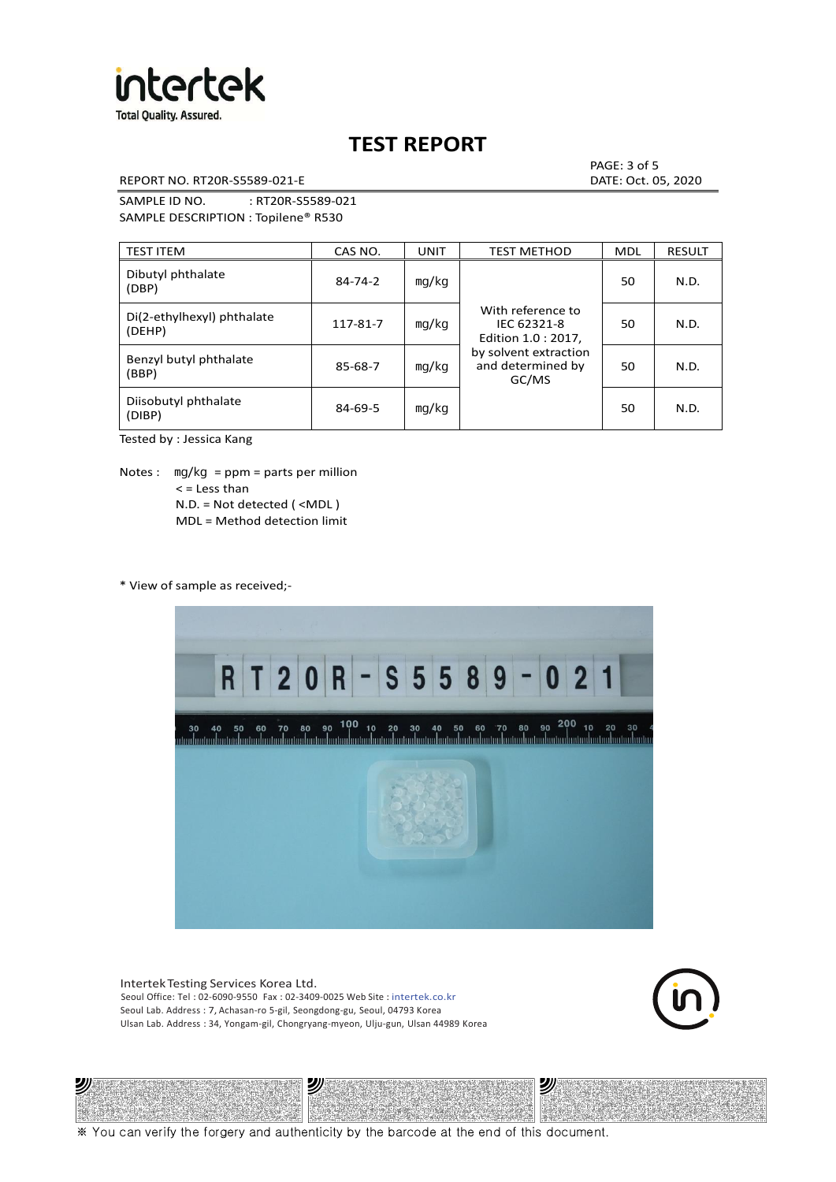

REPORT NO. RT20R-S5589-021-E DATE: Oct. 05, 2020

PAGE: 3 of 5

SAMPLE ID NO. : RT20R-S5589-021 SAMPLE DESCRIPTION : Topilene® R530

| <b>TEST ITEM</b>                     | CAS NO.       | <b>UNIT</b> | <b>TEST METHOD</b>                                      | <b>MDL</b> | <b>RESULT</b> |
|--------------------------------------|---------------|-------------|---------------------------------------------------------|------------|---------------|
| Dibutyl phthalate<br>(DBP)           | $84 - 74 - 2$ | mq/kg       | With reference to<br>IEC 62321-8<br>Edition 1.0 : 2017, | 50         | N.D.          |
| Di(2-ethylhexyl) phthalate<br>(DEHP) | 117-81-7      | mg/kg       |                                                         | 50         | N.D.          |
| Benzyl butyl phthalate<br>(BBP)      | 85-68-7       | mg/kg       | by solvent extraction<br>and determined by<br>GC/MS     | 50         | N.D.          |
| Diisobutyl phthalate<br>(DIBP)       | $84 - 69 - 5$ | mg/kg       |                                                         | 50         | N.D.          |

Tested by : Jessica Kang

Notes :  $mq/kg = ppm = parts per million$  $<$  = Less than N.D. = Not detected ( <MDL ) MDL = Method detection limit

\* View of sample as received;-

沙



Intertek Testing Services Korea Ltd. Seoul Office: Tel : 02-6090-9550 Fax : 02-3409-0025 Web Site : intertek.co.kr Seoul Lab. Address : 7, Achasan-ro 5-gil, Seongdong-gu, Seoul, 04793 Korea Ulsan Lab. Address : 34, Yongam-gil, Chongryang-myeon, Ulju-gun, Ulsan 44989 Korea

沙



沙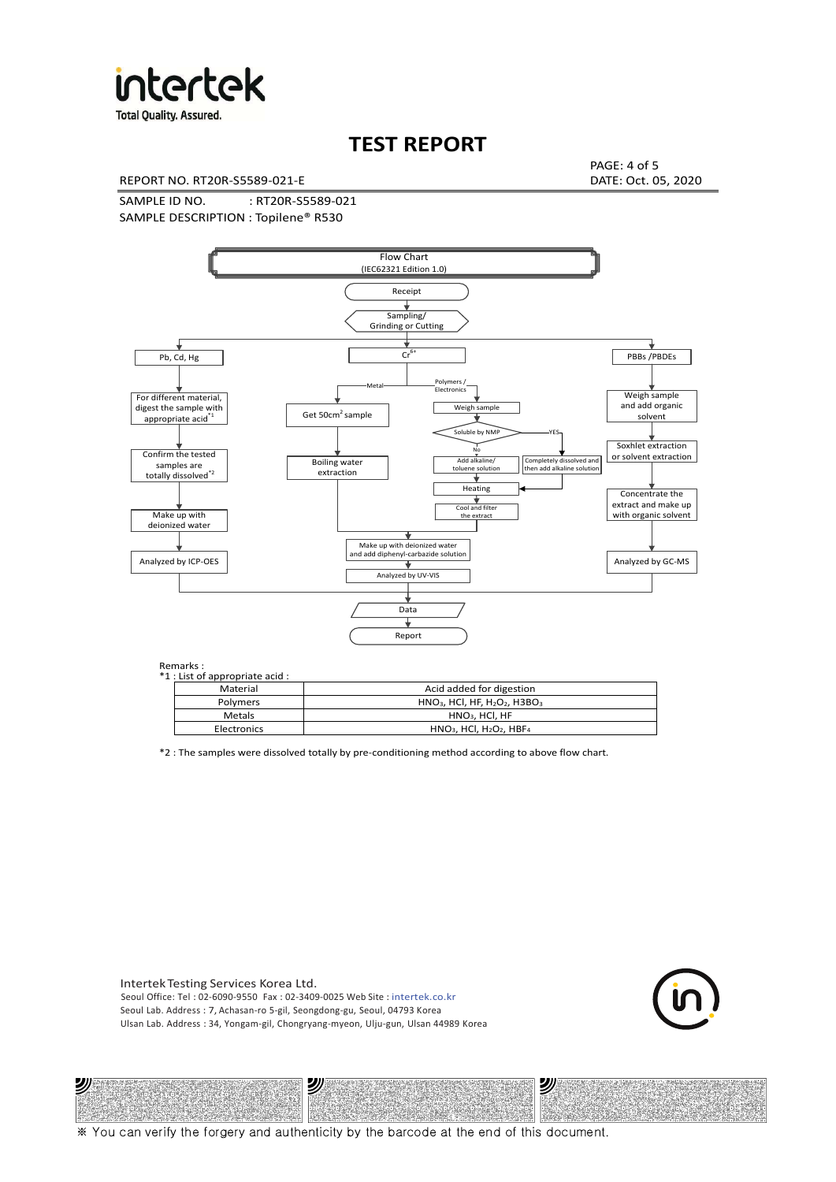

**Total Quality. Assured.** 

## **TEST REPORT**

REPORT NO. RT20R-S5589-021-E DATE: Oct. 05, 2020

PAGE: 4 of 5

SAMPLE ID NO. : RT20R-S5589-021 SAMPLE DESCRIPTION : Topilene® R530



| *1 : List of appropriate acid : |                                                                     |
|---------------------------------|---------------------------------------------------------------------|
| Material                        | Acid added for digestion                                            |
| <b>Polymers</b>                 | $HNO3$ , HCl, HF, H <sub>2</sub> O <sub>2</sub> , H3BO <sub>3</sub> |
| Metals                          | $HNO3$ . HCl. HF                                                    |
| Electronics                     | $HNO3$ , HCl, H <sub>2</sub> O <sub>2</sub> , HBF <sub>4</sub>      |

\*2 : The samples were dissolved totally by pre-conditioning method according to above flow chart.

Intertek Testing Services Korea Ltd. Seoul Office: Tel : 02-6090-9550 Fax : 02-3409-0025 Web Site : intertek.co.kr Seoul Lab. Address : 7, Achasan-ro 5-gil, Seongdong-gu, Seoul, 04793 Korea Ulsan Lab. Address : 34, Yongam-gil, Chongryang-myeon, Ulju-gun, Ulsan 44989 Korea

沙

沙



沙